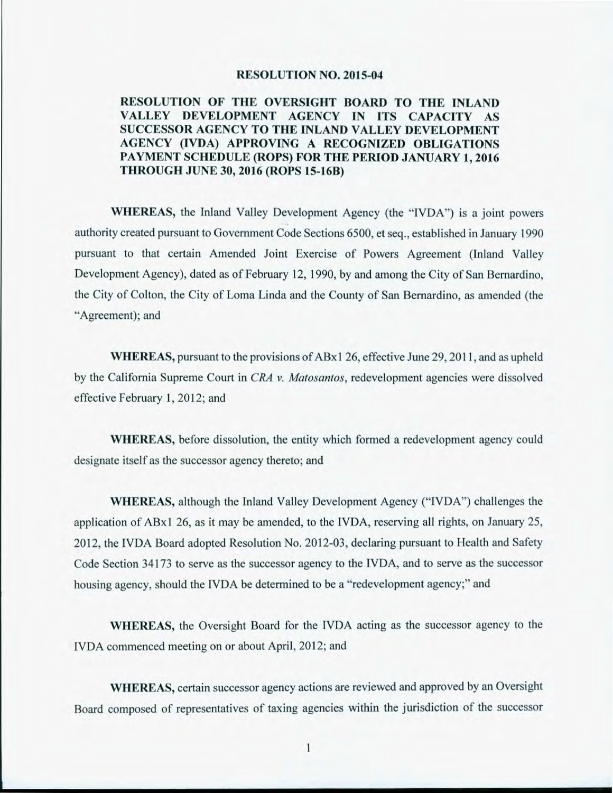#### **RESOLUTION NO. 2015-04**

#### **RESOLUTION OF THE OVERSIGHT BOARD TO THE INLAND VALLEY DEVELOPMENT AGENCY IN ITS CAPACITY AS SUCCESSOR AGENCY TO THE INLAND VALLEY DEVELOPMENT AGENCY (IVDA) APPROVING A RECOGNIZED OBLIGATIONS PAYMENT SCHEDULE (ROPS) FOR TIIE PERIOD JANUARY 1, 2016 THROUGH JUNE 30, 2016 (ROPS 15-1613)**

**WHEREAS,** the Inland Valley Development Agency (the "IVDA") is a joint powers authority created pursuant to Government Code Sections 6500, et seq., established in January 1990 pursuant to that certain Amended Joint Exercise of Powers Agreement (Inland Valley Development Agency), dated as of February 12, 1990, by and among the City of San Bernardino, the City of Colton, the City of Loma Linda and the County of San Bernardino, as amended (the "Agreement); and

WHEREAS, pursuant to the provisions of ABx1 26, effective June 29, 2011, and as upheld by the California Supreme Court in *CRA v. Matosantos,* redevelopment agencies were dissolved effective February 1, 2012; and

WHEREAS, before dissolution, the entity which formed a redevelopment agency could designate itself as the successor agency thereto; and

WHEREAS, although the Inland Valley Development Agency ("IVDA") challenges the application of ABx1 26, as it may be amended, to the IVDA, reserving all rights, on January 25, 2012, the IVDA Board adopted Resolution No. 2012-03, declaring pursuant to Health and Safety Code Section 34173 to serve as the successor agency to the IVDA, and to serve as the successor housing agency, should the IVDA be determined to be a "redevelopment agency;" and

WHEREAS, the Oversight Board for the IVDA acting as the successor agency to the IVDA commenced meeting on or about April, 2012; and

WHEREAS, certain successor agency actions are reviewed and approved by an Oversight Board composed of representatives of taxing agencies within the jurisdiction of the successor

1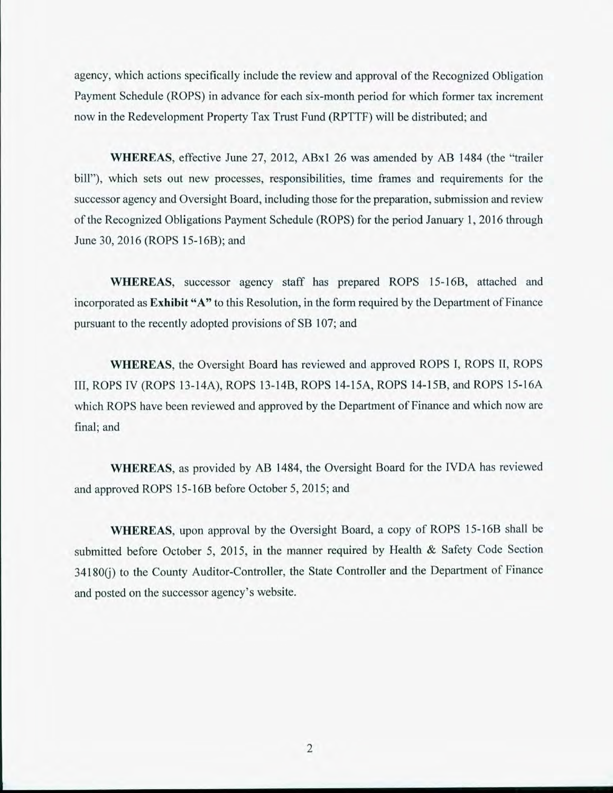agency, which actions specifically include the review and approval of the Recognized Obligation Payment Schedule (ROPS) in advance for each six-month period for which former tax increment now in the Redevelopment Property Tax Trust Fund (RPTTF) will be distributed; and

WHEREAS, effective June 27, 2012, AB $x1$  26 was amended by AB 1484 (the "trailer bill"), which sets out new processes, responsibilities, time frames and requirements for the successor agency and Oversight Board, including those for the preparation, submission and review of the Recognized Obligations Payment Schedule (ROPS) for the period January 1, 2016 through June 30, 2016 (ROPS 15-16B); and

WHEREAS, successor agency staff has prepared ROPS 15-16B, attached and incorporated as **Exhibit** "A" to this Resolution, in the form required by the Department of Finance pursuant to the recently adopted provisions of SB 107; and

WHEREAS, the Oversight Board has reviewed and approved ROPS I, ROPS II, ROPS III, ROPS IV (ROPS 13-14A), ROPS 13-14B, ROPS 14-15A, ROPS 14-15B, and ROPS 15-16A which ROPS have been reviewed and approved by the Department of Finance and which now are final; and

WHEREAS, as provided by AB 1484, the Oversight Board for the IVDA has reviewed and approved ROPS 15-16B before October 5,2015; and

WHEREAS, upon approval by the Oversight Board, a copy of ROPS 15-16B shall be submitted before October 5, 2015, in the manner required by Health & Safety Code Section 34180(j) to the County Auditor-Controller, the State Controller and the Department of Finance and posted on the successor agency's website.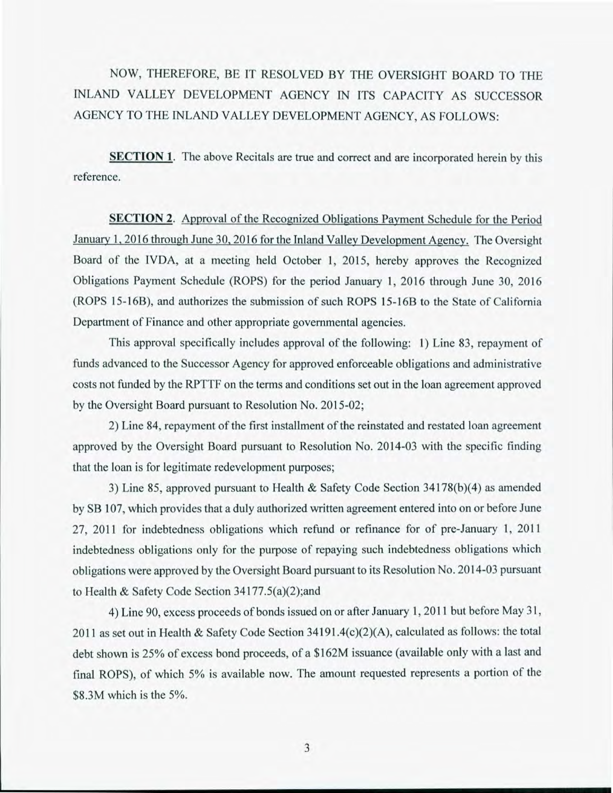NOW, THEREFORE, BE IT RESOLVED BY THE OVERSIGHT BOARD TO THE INLAND VALLEY DEVELOPMENT AGENCY IN ITS CAPACITY AS SUCCESSOR AGENCY TO THE INLAND VALLEY DEVELOPMENT AGENCY, AS FOLLOWS:

**SECTION 1.** The above Recitals are true and correct and are incorporated herein by this reference.

SECTION 2. Approval of the Recognized Obligations Payment Schedule for the Period January 1, 2016 through June 30, 2016 for the Inland Valley Development Agency. The Oversight Board of the IVDA, at a meeting held October 1, 2015, hereby approves the Recognized Obligations Payment Schedule (ROPS) for the period January 1, 2016 through June 30, 2016 (ROPS 15-16B), and authorizes the submission of such ROPS 15-16B to the State of California Department of Finance and other appropriate governmental agencies.

This approval specifically includes approval of the following: 1) Line 83, repayment of funds advanced to the Successor Agency for approved enforceable obligations and administrative costs not funded by the RPTTF on the terms and conditions set out in the loan agreement approved by the Oversight Board pursuant to Resolution No. 2015-02;

2) Line 84, repayment of the first installment of the reinstated and restated loan agreement approved by the Oversight Board pursuant to Resolution No. 2014-03 with the specific finding that the loan is for legitimate redevelopment purposes;

3) Line 85, approved pursuant to Health & Safety Code Section 34178(b)(4) as amended by **SB** 107, which provides that a duly authorized written agreement entered into on or before June 27, 2011 for indebtedness obligations which refund or refinance for of pre-January 1, 2011 indebtedness obligations only for the purpose of repaying such indebtedness obligations which obligations were approved by the Oversight Board pursuant to its Resolution No. 2014-03 pursuant to Health & Safety Code Section 34177.5(a)(2);and

4) Line 90, excess proceeds of bonds issued on or after January 1, 2011 but before May 31, 2011 as set out in Health & Safety Code Section 34191.4(c)(2)(A), calculated as follows: the total debt shown is 25% of excess bond proceeds, of a \$162M issuance (available only with a last and final ROPS), of which 5% is available now. The amount requested represents a portion of the \$8.3M which is the 5%.

3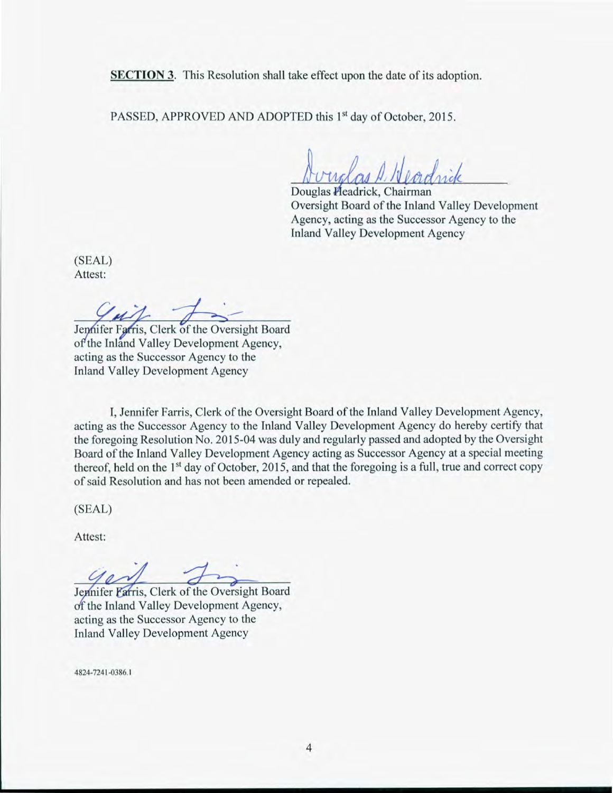**SECTION 3.** This Resolution shall take effect upon the date of its adoption.

PASSED, APPROVED AND ADOPTED this 1<sup>st</sup> day of October, 2015.

Li( **4/1/4,4** Douglas eadrick, Chairman

Oversight Board of the Inland Valley Development Agency, acting as the Successor Agency to the Inland Valley Development Agency

(SEAL) Attest:

 $u$ 

Jennifer Farris, Clerk of the Oversight Board of the Inland Valley Development Agency, acting as the Successor Agency to the Inland Valley Development Agency

I, Jennifer Farris, Clerk of the Oversight Board of the Inland Valley Development Agency, acting as the Successor Agency to the Inland Valley Development Agency do hereby certify that the foregoing Resolution No. 2015-04 was duly and regularly passed and adopted by the Oversight Board of the Inland Valley Development Agency acting as Successor Agency at a special meeting thereof, held on the  $1<sup>st</sup>$  day of October, 2015, and that the foregoing is a full, true and correct copy of said Resolution and has not been amended or repealed.

(SEAL)

Attest:

Jennifer Farris, Clerk of the Oversight Board f the Inland Valley Development Agency, acting as the Successor Agency to the Inland Valley Development Agency

4824-7241-0386.1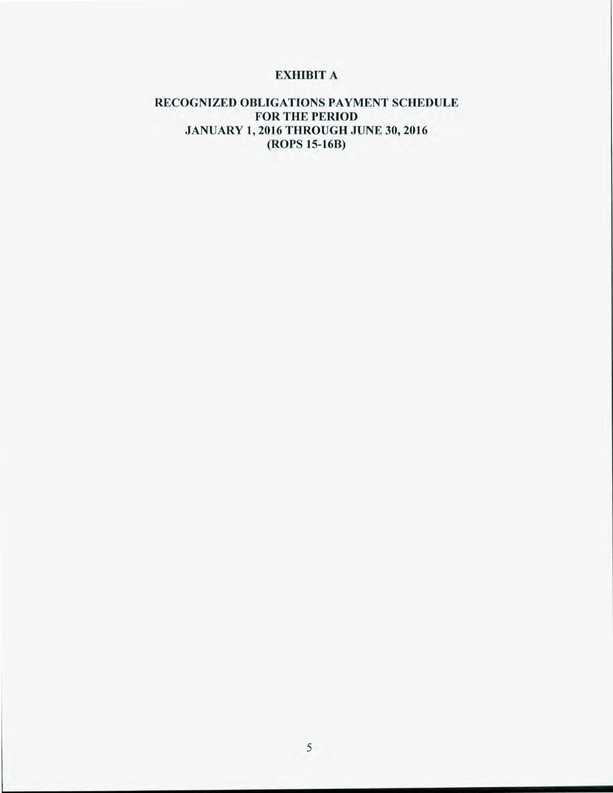# **EXHIBIT** A

### **RECOGNIZED OBLIGATIONS PAYMENT SCHEDULE FOR THE PERIOD JANUARY 1, 2016 THROUGH JUNE 30, 2016 (ROPS 15-168)**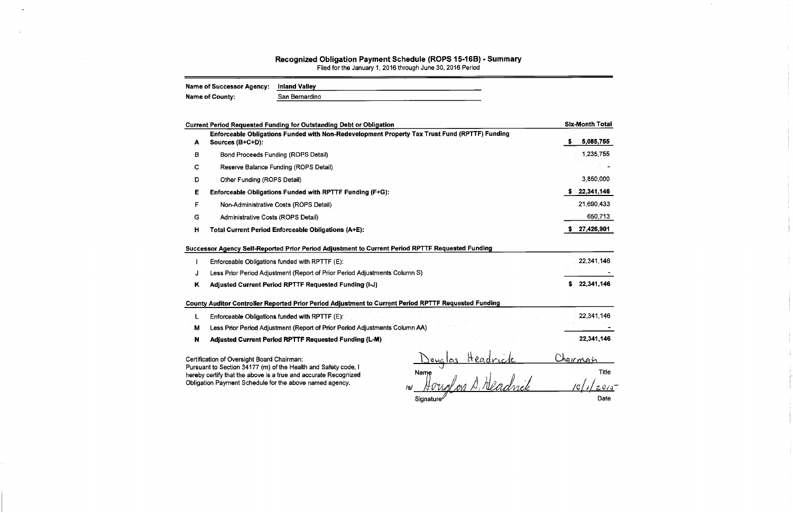# Recognized Obligation Payment Schedule (ROPS 15-16B) - Summary<br>Filed for the January 1, 2016 through June 30, 2016 Period

| <b>Name of Successor Agency:</b> | Inland Valley<br>$-1 - 1 - 1$ |
|----------------------------------|-------------------------------|
| Name of County:                  | San Bernardino                |

|   | <b>Current Period Requested Funding for Outstanding Debt or Obligation</b>                                                                                                                                                       |                    |   | <b>Six-Month Total</b> |
|---|----------------------------------------------------------------------------------------------------------------------------------------------------------------------------------------------------------------------------------|--------------------|---|------------------------|
| А | Enforceable Obligations Funded with Non-Redevelopment Property Tax Trust Fund (RPTTF) Funding<br>Sources (B+C+D):                                                                                                                |                    | s | 5,085,755              |
| в | <b>Bond Proceeds Funding (ROPS Detail)</b>                                                                                                                                                                                       |                    |   | 1,235,755              |
| C | Reserve Balance Funding (ROPS Detail)                                                                                                                                                                                            |                    |   |                        |
| D | Other Funding (ROPS Detail)                                                                                                                                                                                                      |                    |   | 3,850,000              |
| Е | Enforceable Obligations Funded with RPTTF Funding (F+G):                                                                                                                                                                         |                    |   | 22,341,146             |
| F | Non-Administrative Costs (ROPS Detail)                                                                                                                                                                                           |                    |   | 21,690,433             |
| G | Administrative Costs (ROPS Detail)                                                                                                                                                                                               |                    |   | 650,713                |
| н | <b>Total Current Period Enforceable Obligations (A+E):</b>                                                                                                                                                                       |                    |   | 27,426,901             |
|   | Successor Agency Self-Reported Prior Period Adjustment to Current Period RPTTF Requested Funding<br>Enforceable Obligations funded with RPTTF (E):<br>Less Prior Period Adjustment (Report of Prior Period Adjustments Column S) |                    |   | 22,341.146             |
| Κ | Adjusted Current Period RPTTF Requested Funding (I-J)                                                                                                                                                                            |                    |   | \$22,341,146           |
|   | County Auditor Controller Reported Prior Period Adjustment to Current Period RPTTF Requested Funding                                                                                                                             |                    |   |                        |
|   | Enforceable Obligations funded with RPTTF (E):                                                                                                                                                                                   |                    |   | 22,341,146             |
| м | Less Prior Period Adjustment (Report of Prior Period Adjustments Column AA)                                                                                                                                                      |                    |   |                        |
| N | Adjusted Current Period RPTTF Requested Funding (L-M)                                                                                                                                                                            |                    |   | 22,341.146             |
|   | Certification of Oversight Board Chairman:                                                                                                                                                                                       | Headr<br>$0\alpha$ |   | Chairman               |
|   | Pursuant to Section 34177 (m) of the Health and Safety code, I<br>hereby certify that the above is a true and accurate Recognized                                                                                                | Name               |   | Title                  |

Obligation Payment Schedule for the above named agency.

 $\overline{a}$ 

1si Houglois A Neadrick

 $10/1/2015$ 

 $\sim$ 

一针。

Date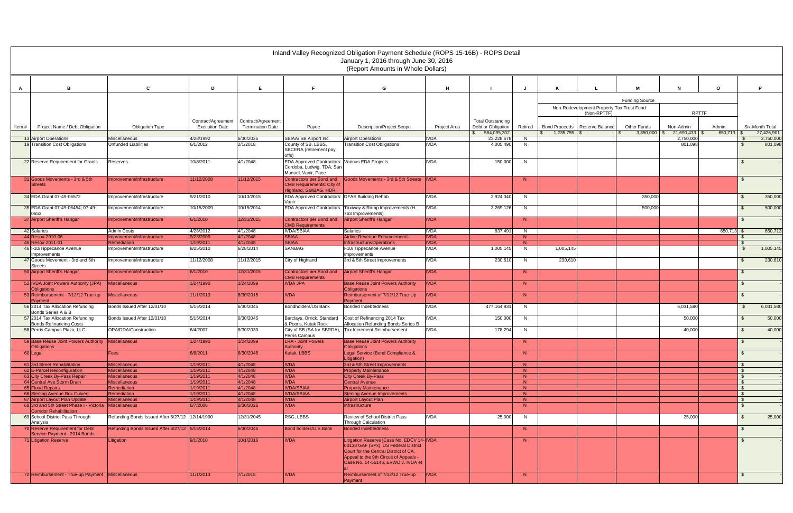|       |                                                                                          |                                                  |                        |                         |                                                                                                    | Inland Valley Recognized Obligation Payment Schedule (ROPS 15-16B) - ROPS Detail<br>January 1, 2016 through June 30, 2016<br>(Report Amounts in Whole Dollars) |                            |                                     |          |                                 |                                                          |                                               |                         |                  |                               |
|-------|------------------------------------------------------------------------------------------|--------------------------------------------------|------------------------|-------------------------|----------------------------------------------------------------------------------------------------|----------------------------------------------------------------------------------------------------------------------------------------------------------------|----------------------------|-------------------------------------|----------|---------------------------------|----------------------------------------------------------|-----------------------------------------------|-------------------------|------------------|-------------------------------|
|       |                                                                                          |                                                  |                        |                         |                                                                                                    |                                                                                                                                                                |                            |                                     |          |                                 |                                                          |                                               |                         |                  |                               |
| A     | B                                                                                        | C                                                | D                      | E.                      | F                                                                                                  | G                                                                                                                                                              | H                          |                                     |          |                                 |                                                          | <b>M</b>                                      | N                       | $\mathbf{o}$     | P.                            |
|       |                                                                                          |                                                  |                        |                         |                                                                                                    |                                                                                                                                                                |                            |                                     |          |                                 |                                                          | <b>Funding Source</b>                         |                         |                  |                               |
|       |                                                                                          |                                                  |                        |                         |                                                                                                    |                                                                                                                                                                |                            |                                     |          |                                 | Non-Redevelopment Property Tax Trust Fund<br>(Non-RPTTF) |                                               | <b>RPTTF</b>            |                  |                               |
|       |                                                                                          |                                                  | Contract/Agreement     | Contract/Agreement      |                                                                                                    |                                                                                                                                                                |                            | <b>Total Outstanding</b>            |          |                                 |                                                          |                                               |                         |                  |                               |
| Item# | Project Name / Debt Obligation                                                           | <b>Obligation Type</b>                           | <b>Execution Date</b>  | <b>Termination Date</b> | Payee                                                                                              | <b>Description/Project Scope</b>                                                                                                                               | Project Area               | Debt or Obligation<br>\$584,095,302 | Retired  | Bond Proceeds   Reserve Balance |                                                          | <b>Other Funds</b><br>$3,850,000$ \ \$<br>IS. | Non-Admin<br>21,690,433 | Admin<br>650.713 | Six-Month Total<br>27,426,901 |
|       | 13 Airport Operations                                                                    | Miscellaneous                                    | 4/28/1992              | 6/30/2025               | SBIAA/ SB Airport Inc.                                                                             | <b>Airport Operations</b>                                                                                                                                      | <b>IVDA</b>                | 23,228,578                          | N.       |                                 |                                                          |                                               | 2,750,000               |                  | 2,750,000                     |
|       | 19 Transition Cost Obligations                                                           | Unfunded Liabilities                             | 6/1/2012               | 2/1/2018                | County of SB, LBBS,<br>SBCERA (retirement pay<br>offs)                                             | <b>Transition Cost Obligations</b>                                                                                                                             | <b>IVDA</b>                | 4,005,490                           | N        |                                 |                                                          |                                               | 801,098                 |                  | 801,098                       |
|       | 22 Reserve Requirement for Grants                                                        | Reserves                                         | 10/8/2011              | 4/1/2048                | EDA Approved Contractors: Various EDA Projects<br>Cordoba, Ludwig, TDA, San<br>Manuel, Vanir, Pace |                                                                                                                                                                | <b>IVDA</b>                | 150,000                             | N        |                                 |                                                          |                                               |                         |                  |                               |
|       | 31 Goods Movements - 3rd & 5th                                                           | Improvement/Infrastructure                       | 11/12/2008             | 11/12/2015              | Contractors per Bond and                                                                           | Goods Movements - 3rd & 5th Streets IVDA                                                                                                                       |                            |                                     | N        |                                 |                                                          |                                               |                         |                  | $\mathbb{S}$                  |
|       | <b>Streets</b>                                                                           |                                                  |                        |                         | <b>CMB Requirements: City of</b><br>Highland, SanBAG, HDR                                          |                                                                                                                                                                |                            |                                     |          |                                 |                                                          |                                               |                         |                  |                               |
|       | 34 EDA Grant 07-49-06572                                                                 | mprovement/Infrastructure                        | 9/21/2010              | 10/13/2015              | EDA Approved Contractors: DFAS Building Rehab                                                      |                                                                                                                                                                | <b>IVDA</b>                | 2,924,340                           | N        |                                 |                                                          | 350,000                                       |                         |                  | 350,000                       |
|       | 35 EDA Grant 07-49-06454; 07-49-<br>0653                                                 | Improvement/Infrastructure                       | 10/15/2009             | 10/15/2014              | Vanir                                                                                              | EDA Approved Contractors   Taxiway & Ramp Improvements (H.<br>763 Improvements)                                                                                | <b>IVDA</b>                | 3,269,126                           | N        |                                 |                                                          | 500,000                                       |                         |                  | 500,000<br><sup>\$</sup>      |
|       | 37 Airport Sheriff's Hangar                                                              | Improvement/Infrastructure                       | 6/1/2010               | 12/31/2015              | Contractors per Bond and                                                                           | Airport Sheriff's Hangar                                                                                                                                       | <b>IVDA</b>                |                                     | N        |                                 |                                                          |                                               |                         |                  | <b>S</b>                      |
|       | 42 Salaries                                                                              | Admin Costs                                      | 4/28/2012              | 4/1/2048                | <b>CMB Requirements</b><br><b>IVDA/SBIAA</b>                                                       | <b>Salaries</b>                                                                                                                                                | <b>IVDA</b>                | 837,491                             | N        |                                 |                                                          |                                               |                         | 650,713 \$       | 650,713                       |
|       | 44 Reso# 2010-06                                                                         | Improvement/Infrastructure                       | 9/23/2009              | 4/1/2048                | <b>SBIAA</b>                                                                                       | <b>Airline Revenue Enhancements</b>                                                                                                                            | <b>IVDA</b>                |                                     | N        |                                 |                                                          |                                               |                         |                  |                               |
|       | 45 Reso# 2011-01<br>46 I-10/Tippecanoe Avenue<br><b>Improvements</b>                     | <b>Remediation</b><br>Improvement/Infrastructure | 1/19/2011<br>8/25/2010 | 4/1/2048<br>6/28/2014   | <b>SBIAA</b><br>SANBAG                                                                             | Infrastructure/Operations<br>I-10/Tippecanoe Avenue<br>Improvements                                                                                            | <b>IVDA</b><br><b>IVDA</b> | 1,005,145                           | N<br>N   | 1,005,145                       |                                                          |                                               |                         |                  | 1,005,145                     |
|       | 47 Goods Movement - 3rd and 5th                                                          | Improvement/Infrastructure                       | 11/12/2008             | 11/12/2015              | City of Highland                                                                                   | 3rd & 5th Street Improvements                                                                                                                                  | <b>IVDA</b>                | 230,610                             | N        | 230,610                         |                                                          |                                               |                         |                  | 230,610                       |
|       | <b>Streets</b><br>50 Airport Sheriff's Hangar                                            | Improvement/Infrastructure                       | 6/1/2010               | 12/31/2015              | Contractors per Bond and<br><b>CMB Requirements</b>                                                | <b>Airport Sheriff's Hangar</b>                                                                                                                                | <b>IVDA</b>                |                                     | N        |                                 |                                                          |                                               |                         |                  | $\mathbf{\$}$                 |
|       | 52 IVDA Joint Powers Authority (JPA)                                                     | <b>Miscellaneous</b>                             | 1/24/1990              | 1/24/2099               | <b>IVDA JPA</b>                                                                                    | <b>Base Reuse Joint Powers Authority</b>                                                                                                                       | <b>IVDA</b>                |                                     | N        |                                 |                                                          |                                               |                         |                  | $\mathfrak{S}$                |
|       | <b>Obligations</b><br>53 Reimbursement - 7/12/12 True-up                                 | <b>Miscellaneous</b>                             | 11/1/2013              | 6/30/2015               | <b>IVDA</b>                                                                                        | <b>Obligations</b><br>Reimbursement of 7/12/12 True-Up                                                                                                         | <b>IVDA</b>                |                                     | N        |                                 |                                                          |                                               |                         |                  | $\mathfrak{L}$                |
|       | Payment<br>56 2014 Tax Allocation Refunding                                              | Bonds Issued After 12/31/10                      | 5/15/2014              | 6/30/2045               | Bondholders/US Bank                                                                                | Payment<br>Bonded Indebtedness                                                                                                                                 | <b>IVDA</b>                | 477,164,931                         | N        |                                 |                                                          |                                               | 6,031,580               |                  | 6,031,580<br>$\mathbb{S}$     |
|       | Bonds Series A & B<br>57 2014 Tax Allocation Refunding                                   | Bonds Issued After 12/31/10                      | 5/15/2014              | 6/30/2045               | Barclays, Orrick, Standard                                                                         | Cost of Refinancing 2014 Tax                                                                                                                                   | <b>IVDA</b>                | 150,000                             | <b>N</b> |                                 |                                                          |                                               | 50,000                  |                  | 50,000                        |
|       | <b>Bonds Refinancing Costs</b>                                                           |                                                  |                        |                         | & Poor's, Kutak Rock                                                                               | Allocation Refunding Bonds Series B                                                                                                                            |                            |                                     |          |                                 |                                                          |                                               |                         |                  |                               |
|       | 58 Perris Campus Plaza, LLC                                                              | OPA/DDA/Construction                             | 6/4/2007               | 6/30/2030               | Perris Campus                                                                                      | City of SB (SA for SBRDA), Tax Increment Reimbursement                                                                                                         | <b>IVDA</b>                | 178,294                             | N        |                                 |                                                          |                                               | 40,000                  |                  | 40,000                        |
|       | 59 Base Reuse Joint Powers Authority<br><b>Obligations</b>                               | <b>Miscellaneous</b>                             | 1/24/1990              | 1/24/2099               | <b>LRA - Joint Powers</b><br><b>Authority</b>                                                      | <b>Base Reuse Joint Powers Authority</b><br><b>Obligations</b>                                                                                                 |                            |                                     | N        |                                 |                                                          |                                               |                         |                  | $\mathbb{S}$                  |
|       | 60 Legal                                                                                 | Fees                                             | 6/8/2011               | 6/30/2045               | Kutak, LBBS                                                                                        | Legal Service (Bond Compliance &<br>Litigation)                                                                                                                |                            |                                     | N        |                                 |                                                          |                                               |                         |                  | $\mathbb{S}$                  |
|       | 61 3rd Street Rehabilitation                                                             | <b>Miscellaneous</b>                             | 1/19/2011              | 4/1/2048                | <b>IVDA</b>                                                                                        | 3rd & 5th Street Improvements                                                                                                                                  |                            |                                     | N        |                                 |                                                          |                                               |                         |                  |                               |
|       | 62 E-Parcel Reconfiguration                                                              | <b>Miscellaneous</b>                             | 1/19/2011              | 4/1/2048                | <b>IVDA</b>                                                                                        | <b>Property Maintenance</b>                                                                                                                                    |                            |                                     | N        |                                 |                                                          |                                               |                         |                  | <b>S</b>                      |
|       | 63 City Creek By-Pass Repair                                                             | <b>Miscellaneous</b>                             | 1/19/2011              | 4/1/2048                | <b>IVDA</b>                                                                                        | <b>City Creek By-Pass</b>                                                                                                                                      |                            |                                     | N        |                                 |                                                          |                                               |                         |                  | -S                            |
|       | 64 Central Ave Storm Drain                                                               | <b>Miscellaneous</b>                             | 1/19/2011              | 4/1/2048                | <b>IVDA</b>                                                                                        | Central Avenue                                                                                                                                                 |                            |                                     | N        |                                 |                                                          |                                               |                         |                  | $\mathcal{S}$                 |
|       | 65 Flood Repairs<br>66 Sterling Avenue Box Culvert                                       | Remediation<br>Remediation                       | 1/19/2011<br>1/19/2011 | 4/1/2048<br>4/1/2048    | <b>IVDA/SBIAA</b><br><b>IVDA/SBIAA</b>                                                             | <b>Property Maintenance</b><br><b>Sterling Avenue Improvements</b>                                                                                             |                            |                                     | N<br>N   |                                 |                                                          |                                               |                         |                  | $\mathcal{S}$<br>\$           |
|       | 67 Airport Layout Plan Update                                                            | <b>Miscellaneous</b>                             | 1/19/2011              | 4/1/2048                | <b>IVDA</b>                                                                                        | Airport Layout Plan                                                                                                                                            |                            |                                     | N        |                                 |                                                          |                                               |                         |                  | $\mathcal{L}$                 |
|       | 68 3rd and 5th Street Phase I - Victoria Miscellaneous<br><b>Corridor Rehabilitation</b> |                                                  | 6/7/2006               | 6/30/2026               | <b>IVDA</b>                                                                                        | Infrastructure                                                                                                                                                 |                            |                                     | N        |                                 |                                                          |                                               |                         |                  | \$                            |
|       | 69 School District Pass Through                                                          | Refunding Bonds Issued After 6/27/12 12/14/1990  |                        | 12/31/2045              | RSG, LBBS                                                                                          | Review of School District Pass                                                                                                                                 | <b>IVDA</b>                | 25,000                              | N        |                                 |                                                          |                                               | 25,000                  |                  | 25,000<br><sup>\$</sup>       |
|       | Analysis<br>70 Reserve Requirement for Debt                                              | Refunding Bonds Issued After 6/27/12 5/15/2014   |                        | 6/30/2045               | Bond holders/U.S.Bank                                                                              | <b>Through Calculation</b><br><b>Bonded Indebtedness</b>                                                                                                       |                            |                                     | N        |                                 |                                                          |                                               |                         |                  | \$                            |
|       | Service Payment - 2014 Bonds<br>71 Litigation Reserve                                    | Litigation                                       | 9/1/2010               | 10/1/2016               | <b>IVDA</b>                                                                                        | Litigation Reserve [Case No. EDCV 14- IVDA                                                                                                                     |                            |                                     | N        |                                 |                                                          |                                               |                         |                  | $\mathfrak{L}$                |
|       |                                                                                          |                                                  |                        |                         |                                                                                                    | 00138 GAF (SPx), US Federal District<br>Court for the Central District of CA,<br>Appeal to the 9th Circuit of Appeals -<br>Case No. 14-56146, EVWD v. IVDA et  |                            |                                     |          |                                 |                                                          |                                               |                         |                  |                               |
|       | 72 Reimbursement - True-up Payment Miscellaneous                                         |                                                  | 11/1/2013              | 7/1/2015                | <b>IVDA</b>                                                                                        | Reimbursement of 7/12/12 True-up<br><b>Payment</b>                                                                                                             | <b>IVDA</b>                |                                     | N        |                                 |                                                          |                                               |                         |                  | $\mathfrak{S}$                |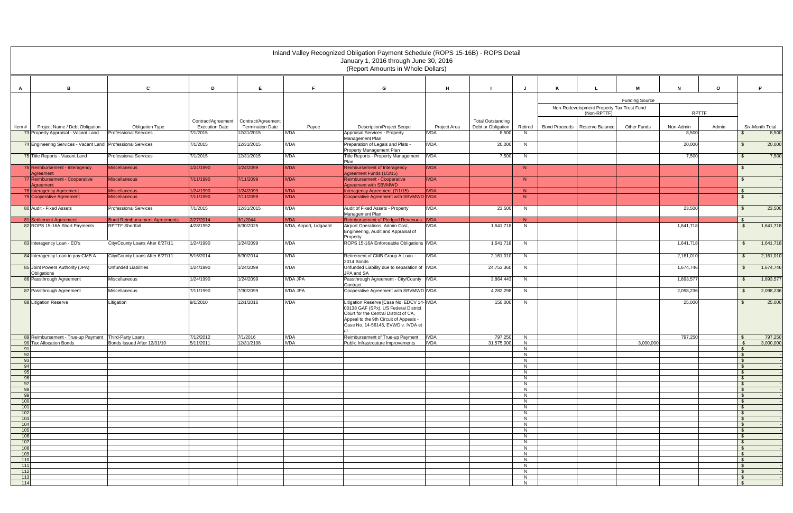|            |                                                                                 |                                      |                                                                |                         |                            | Inland Valley Recognized Obligation Payment Schedule (ROPS 15-16B) - ROPS Detail<br>January 1, 2016 through June 30, 2016<br>(Report Amounts in Whole Dollars)                                              |              |                                                |         |                      |                                           |                       |              |         |                                |                      |
|------------|---------------------------------------------------------------------------------|--------------------------------------|----------------------------------------------------------------|-------------------------|----------------------------|-------------------------------------------------------------------------------------------------------------------------------------------------------------------------------------------------------------|--------------|------------------------------------------------|---------|----------------------|-------------------------------------------|-----------------------|--------------|---------|--------------------------------|----------------------|
|            |                                                                                 |                                      |                                                                |                         |                            |                                                                                                                                                                                                             |              |                                                |         |                      |                                           |                       |              |         |                                |                      |
| A          | в                                                                               | C                                    | D                                                              | E.                      | F.                         | G                                                                                                                                                                                                           | H            |                                                | J       |                      |                                           | M                     |              | $\circ$ |                                | P                    |
|            |                                                                                 |                                      |                                                                |                         |                            |                                                                                                                                                                                                             |              |                                                |         |                      | Non-Redevelopment Property Tax Trust Fund | <b>Funding Source</b> |              |         |                                |                      |
|            |                                                                                 |                                      |                                                                |                         |                            |                                                                                                                                                                                                             |              |                                                |         |                      | (Non-RPTTF)                               |                       | <b>RPTTF</b> |         |                                |                      |
| Item #     | Project Name / Debt Obligation                                                  | <b>Obligation Type</b>               | Contract/Agreement Contract/Agreement<br><b>Execution Date</b> | <b>Termination Date</b> | Payee                      | <b>Description/Project Scope</b>                                                                                                                                                                            | Project Area | <b>Total Outstanding</b><br>Debt or Obligation | Retired | <b>Bond Proceeds</b> | Reserve Balance                           | Other Funds           | Non-Admin    | Admin   |                                | Six-Month Total      |
|            | 73 Property Appraisal - Vacant Land                                             | <b>Professional Services</b>         | 7/1/2015                                                       | 12/31/2015              | <b>IVDA</b>                | Appraisal Services - Property<br>Management Plan                                                                                                                                                            | <b>IVDA</b>  | 8,500                                          | N.      |                      |                                           |                       | 8,500        |         |                                | 8,500                |
|            | 74 Engineering Services - Vacant Land                                           | <b>Professional Services</b>         | 7/1/2015                                                       | 12/31/2015              | <b>IVDA</b>                | Preparation of Legals and Plats -<br>Property Management Plan                                                                                                                                               | <b>IVDA</b>  | 20,000                                         | N.      |                      |                                           |                       | 20,000       |         | \$                             | 20,000               |
|            | 75 Title Reports - Vacant Land                                                  | <b>Professional Services</b>         | 7/1/2015                                                       | 12/31/2015              | <b>IVDA</b>                | Title Reports - Property Management<br>Plan                                                                                                                                                                 | <b>IVDA</b>  | 7,500                                          | N       |                      |                                           |                       | 7,500        |         | \$                             | 7,500                |
|            | 76 Reimbursement - Interagency<br>Agreement                                     | Miscellaneous                        | 1/24/1990                                                      | 1/24/2099               | <b>IVDA</b>                | Reimbursement of Interagency<br>Agreement Funds (1/3/15)                                                                                                                                                    | <b>IVDA</b>  |                                                | N       |                      |                                           |                       |              |         | \$                             |                      |
|            | 77 Reimbursement - Cooperative                                                  | <b>Miscellaneous</b>                 | 7/11/1990                                                      | 7/11/2099               | <b>IVDA</b>                | Reimbursement - Cooperative<br>Agreement with SBVMWD                                                                                                                                                        | <b>IVDA</b>  |                                                | N       |                      |                                           |                       |              |         | -S                             |                      |
|            | Agreement<br>78 Interagency Agreement                                           | <b>Miscellaneous</b>                 | 1/24/1990                                                      | 1/24/2099               | <b>IVDA</b>                | Interagency Agreement (7/1/15)                                                                                                                                                                              | <b>IVDA</b>  |                                                | N       |                      |                                           |                       |              |         | $\mathbb{S}$                   |                      |
|            | 79 Cooperative Agreement                                                        | <b>Miscellaneous</b>                 | 7/11/1990                                                      | 7/11/2099               | <b>IVDA</b>                | Cooperative Agreement with SBVMWD IVDA                                                                                                                                                                      |              |                                                | N       |                      |                                           |                       |              |         | $\mathcal{L}$                  |                      |
|            | 80 Audit - Fixed Assets                                                         | <b>Professional Services</b>         | 7/1/2015                                                       | 12/31/2015              | <b>IVDA</b>                | Audit of Fixed Assets - Property<br>Management Plan                                                                                                                                                         | <b>IVDA</b>  | 23,500                                         | N.      |                      |                                           |                       | 23,500       |         | \$.                            | 23,500               |
|            | 81 Settlement Agreement                                                         | <b>Bond Reimbursement Agreements</b> | 2/27/2014                                                      | 3/1/2044                | <b>IVDA</b>                | Reimbursement of Pledged Revenues   IVDA                                                                                                                                                                    |              |                                                | N.      |                      |                                           |                       |              |         | $\mathcal{L}$                  |                      |
|            | 82 ROPS 15-16A Short Payments                                                   | <b>RPTTF Shortfall</b>               | 4/28/1992                                                      | 6/30/2025               | IVDA, Airport, Lidgaard    | Airport Operations, Admin Cost,<br>Engineering, Audit and Appraisal of<br>Property                                                                                                                          | IVDA         | 1,641,718                                      | N.      |                      |                                           |                       | 1,641,718    |         | \$                             | 1,641,718            |
|            | 83 Interagency Loan - EO's                                                      | City/County Loans After 6/27/11      | 1/24/1990                                                      | 1/24/2099               | <b>IVDA</b>                | ROPS 15-16A Enforceable Obligations   IVDA                                                                                                                                                                  |              | 1,641,718                                      | N       |                      |                                           |                       | 1,641,718    |         | $\mathfrak{S}$                 | 1,641,718            |
|            | 84 Interagency Loan to pay CMB A                                                | City/County Loans After 6/27/11      | 5/16/2014                                                      | 6/30/2014               | <b>IVDA</b>                | Retirement of CMB Group A Loan -<br>2014 Bonds                                                                                                                                                              | <b>IVDA</b>  | 2,161,010                                      | N       |                      |                                           |                       | 2,161,010    |         | $\mathsf{\$}$                  | 2,161,010            |
|            | 85 Joint Powers Authority (JPA)<br>Obligations                                  | <b>Unfunded Liabilities</b>          | 1/24/1990                                                      | 1/24/2099               | <b>IVDA</b>                | Unfunded Liability due to separation of IVDA<br>JPA and SA                                                                                                                                                  |              | 24,753,360                                     | N       |                      |                                           |                       | 1,674,746    |         | $\mathfrak{S}$                 | 1,674,746            |
|            | 86 Passthrough Agreement                                                        | Miscellaneous                        | 1/24/1990                                                      | 1/24/2099               | <b>IVDA JPA</b>            | Passthrough Agreement - City/County   IVDA<br>Contract                                                                                                                                                      |              | 3,864,443                                      | N.      |                      |                                           |                       | 1,893,577    |         | $\mathfrak{S}$                 | 1,893,577            |
|            | 87 Passthrough Agreement                                                        | Miscellaneous                        | 7/11/1990                                                      | 7/30/2099               | <b>IVDA JPA</b>            | Cooperative Agreement with SBVMWD IVDA                                                                                                                                                                      |              | 4,282,298                                      | N       |                      |                                           |                       | 2,098,236    |         | $\mathfrak{S}$                 | 2,098,236            |
|            | 88 Litigation Reserve                                                           | Litigation                           | 9/1/2010                                                       | 12/1/2016               | <b>IVDA</b>                | Litigation Reserve [Case No. EDCV 14- IVDA<br>00138 GAF (SPx), US Federal District<br>Court for the Central District of CA,<br>Appeal to the 9th Circuit of Appeals -<br>Case No. 14-56146, EVWD v. IVDA et |              | 150,000                                        | N.      |                      |                                           |                       | 25,000       |         | $\mathfrak{L}$                 | 25,000               |
|            | 89 Reimbursement - True-up Payment Third-Party Loans<br>90 Tax Allocation Bonds | Bonds Issued After 12/31/10          | 7/12/2012<br>5/11/2011                                         | 7/1/2016<br>12/31/2108  | <b>IVDA</b><br><b>IVDA</b> | Reimbursement of True-up Payment   IVDA<br>Public Infrastrcuture Improvements                                                                                                                               | <b>IVDA</b>  | 797,250<br>31,575,000                          | N<br>N  |                      |                                           | 3,000,000             | 797,250      |         | $\mathcal{F}$                  | 797,250<br>3,000,000 |
|            |                                                                                 |                                      |                                                                |                         |                            |                                                                                                                                                                                                             |              |                                                | N       |                      |                                           |                       |              |         |                                |                      |
| 92<br>93   |                                                                                 |                                      |                                                                |                         |                            |                                                                                                                                                                                                             |              |                                                | N<br>N  |                      |                                           |                       |              |         |                                |                      |
| 94         |                                                                                 |                                      |                                                                |                         |                            |                                                                                                                                                                                                             |              |                                                | N       |                      |                                           |                       |              |         | $\mathcal{L}$<br>$\mathcal{F}$ |                      |
| 95<br>96   |                                                                                 |                                      |                                                                |                         |                            |                                                                                                                                                                                                             |              |                                                | N<br>N  |                      |                                           |                       |              |         |                                |                      |
| 97<br>98   |                                                                                 |                                      |                                                                |                         |                            |                                                                                                                                                                                                             |              |                                                | N<br>N  |                      |                                           |                       |              |         | $\mathcal{F}$                  |                      |
| 99         |                                                                                 |                                      |                                                                |                         |                            |                                                                                                                                                                                                             |              |                                                | N       |                      |                                           |                       |              |         | $\mathcal{F}$                  |                      |
| 100<br>101 |                                                                                 |                                      |                                                                |                         |                            |                                                                                                                                                                                                             |              |                                                | N<br>N  |                      |                                           |                       |              |         |                                |                      |
| 102        |                                                                                 |                                      |                                                                |                         |                            |                                                                                                                                                                                                             |              |                                                | N       |                      |                                           |                       |              |         | <b>\$</b>                      |                      |
| 103<br>104 |                                                                                 |                                      |                                                                |                         |                            |                                                                                                                                                                                                             |              |                                                | N<br>N  |                      |                                           |                       |              |         | <b>\$</b><br>$\mathcal{L}$     |                      |
| 105<br>106 |                                                                                 |                                      |                                                                |                         |                            |                                                                                                                                                                                                             |              |                                                | N<br>N  |                      |                                           |                       |              |         | <b>\$</b>                      |                      |
| 107        |                                                                                 |                                      |                                                                |                         |                            |                                                                                                                                                                                                             |              |                                                | N       |                      |                                           |                       |              |         | <b>S</b>                       |                      |
| 108<br>109 |                                                                                 |                                      |                                                                |                         |                            |                                                                                                                                                                                                             |              |                                                | N<br>N  |                      |                                           |                       |              |         | $\mathcal{L}$                  |                      |
| 110        |                                                                                 |                                      |                                                                |                         |                            |                                                                                                                                                                                                             |              |                                                | N       |                      |                                           |                       |              |         | $\mathcal{L}$                  |                      |
| 111<br>112 |                                                                                 |                                      |                                                                |                         |                            |                                                                                                                                                                                                             |              |                                                | N<br>N  |                      |                                           |                       |              |         | $\mathbf{\hat{s}}$             |                      |
| 113        |                                                                                 |                                      |                                                                |                         |                            |                                                                                                                                                                                                             |              |                                                | N       |                      |                                           |                       |              |         |                                |                      |
| 114        |                                                                                 |                                      |                                                                |                         |                            |                                                                                                                                                                                                             |              |                                                | N       |                      |                                           |                       |              |         |                                |                      |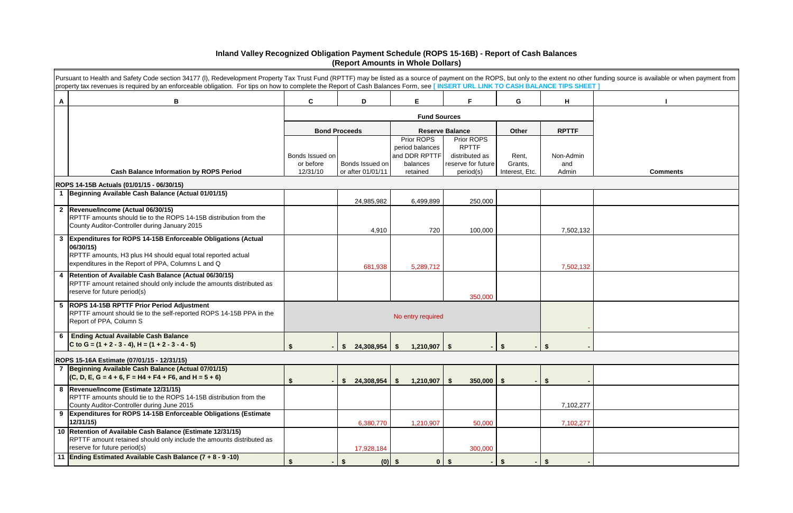|   | Pursuant to Health and Safety Code section 34177 (I), Redevelopment Property Tax Trust Fund (RPTTF) may be listed as a source of payment on the ROPS, but only to the extent no other funding source is available or when paym<br>property tax revenues is required by an enforceable obligation. For tips on how to complete the Report of Cash Balances Form, see [INSERT URL LINK TO CASH BALANCE TIPS SHEET] |                                          |                                      |                                                                        |                                                                                 |                                    |                           |                 |
|---|------------------------------------------------------------------------------------------------------------------------------------------------------------------------------------------------------------------------------------------------------------------------------------------------------------------------------------------------------------------------------------------------------------------|------------------------------------------|--------------------------------------|------------------------------------------------------------------------|---------------------------------------------------------------------------------|------------------------------------|---------------------------|-----------------|
| A | B                                                                                                                                                                                                                                                                                                                                                                                                                | $\mathbf{C}$                             | D                                    | Е                                                                      | Е                                                                               | G                                  | H                         |                 |
|   |                                                                                                                                                                                                                                                                                                                                                                                                                  |                                          |                                      | <b>Fund Sources</b>                                                    |                                                                                 |                                    |                           |                 |
|   |                                                                                                                                                                                                                                                                                                                                                                                                                  |                                          | <b>Bond Proceeds</b>                 |                                                                        | <b>Reserve Balance</b>                                                          | Other                              | <b>RPTTF</b>              |                 |
|   | <b>Cash Balance Information by ROPS Period</b>                                                                                                                                                                                                                                                                                                                                                                   | Bonds Issued on<br>or before<br>12/31/10 | Bonds Issued on<br>or after 01/01/11 | Prior ROPS<br>period balances<br>and DDR RPTTF<br>balances<br>retained | Prior ROPS<br><b>RPTTF</b><br>distributed as<br>reserve for future<br>period(s) | Rent,<br>Grants,<br>Interest, Etc. | Non-Admin<br>and<br>Admin | <b>Comments</b> |
|   | ROPS 14-15B Actuals (01/01/15 - 06/30/15)                                                                                                                                                                                                                                                                                                                                                                        |                                          |                                      |                                                                        |                                                                                 |                                    |                           |                 |
|   | 1 Beginning Available Cash Balance (Actual 01/01/15)                                                                                                                                                                                                                                                                                                                                                             |                                          | 24,985,982                           | 6,499,899                                                              | 250,000                                                                         |                                    |                           |                 |
|   | 2 Revenue/Income (Actual 06/30/15)<br>RPTTF amounts should tie to the ROPS 14-15B distribution from the<br>County Auditor-Controller during January 2015                                                                                                                                                                                                                                                         |                                          | 4,910                                | 720                                                                    | 100,000                                                                         |                                    | 7,502,132                 |                 |
| 3 | Expenditures for ROPS 14-15B Enforceable Obligations (Actual<br>06/30/15)<br>RPTTF amounts, H3 plus H4 should equal total reported actual<br>expenditures in the Report of PPA, Columns L and Q                                                                                                                                                                                                                  |                                          | 681,938                              | 5,289,712                                                              |                                                                                 |                                    | 7,502,132                 |                 |
|   | 4   Retention of Available Cash Balance (Actual 06/30/15)<br>RPTTF amount retained should only include the amounts distributed as<br>reserve for future period(s)                                                                                                                                                                                                                                                |                                          |                                      |                                                                        | 350,000                                                                         |                                    |                           |                 |
|   | 5  ROPS 14-15B RPTTF Prior Period Adjustment<br>RPTTF amount should tie to the self-reported ROPS 14-15B PPA in the<br>Report of PPA, Column S                                                                                                                                                                                                                                                                   |                                          |                                      | No entry required                                                      |                                                                                 |                                    |                           |                 |
| 6 | <b>Ending Actual Available Cash Balance</b><br>C to G = $(1 + 2 - 3 - 4)$ , H = $(1 + 2 - 3 - 4 - 5)$                                                                                                                                                                                                                                                                                                            | \$                                       | 24,308,954                           | $1,210,907$ \ \ \$<br>- \$                                             |                                                                                 | \$.                                | -SG                       |                 |
|   | ROPS 15-16A Estimate (07/01/15 - 12/31/15)                                                                                                                                                                                                                                                                                                                                                                       |                                          |                                      |                                                                        |                                                                                 |                                    |                           |                 |
|   | 7 Beginning Available Cash Balance (Actual 07/01/15)<br>$(C, D, E, G = 4 + 6, F = H4 + F4 + F6, and H = 5 + 6)$                                                                                                                                                                                                                                                                                                  | \$                                       | 24,308,954<br>S.                     | 1,210,907<br>-S                                                        | \$<br>$350,000$   \$                                                            |                                    | \$                        |                 |
|   | 8 Revenue/Income (Estimate 12/31/15)<br>RPTTF amounts should tie to the ROPS 14-15B distribution from the<br>County Auditor-Controller during June 2015                                                                                                                                                                                                                                                          |                                          |                                      |                                                                        |                                                                                 |                                    | 7,102,277                 |                 |
| 9 | Expenditures for ROPS 14-15B Enforceable Obligations (Estimate<br>12/31/15                                                                                                                                                                                                                                                                                                                                       |                                          | 6,380,770                            | 1,210,907                                                              | 50,000                                                                          |                                    | 7,102,277                 |                 |
|   | 10 Retention of Available Cash Balance (Estimate 12/31/15)<br>RPTTF amount retained should only include the amounts distributed as<br>reserve for future period(s)                                                                                                                                                                                                                                               |                                          | 17,928,184                           |                                                                        | 300,000                                                                         |                                    |                           |                 |
|   | 11 Ending Estimated Available Cash Balance (7 + 8 - 9 -10)                                                                                                                                                                                                                                                                                                                                                       | \$                                       | - \$                                 | $(0)$ \$                                                               | $0$   \$                                                                        | - \$                               | $-$ \$                    |                 |

| EET ] | her funding source is available or when payment from |
|-------|------------------------------------------------------|
|       | I                                                    |
|       |                                                      |
|       |                                                      |
|       |                                                      |
| Ì     |                                                      |
|       | <b>Comments</b>                                      |
|       |                                                      |
|       |                                                      |
|       |                                                      |
| 32    |                                                      |
|       |                                                      |
|       |                                                      |
| 32    |                                                      |
|       |                                                      |
|       |                                                      |
|       |                                                      |
|       |                                                      |
|       |                                                      |
|       |                                                      |
|       |                                                      |
|       |                                                      |
|       |                                                      |
| 77    |                                                      |

## **Inland Valley Recognized Obligation Payment Schedule (ROPS 15-16B) - Report of Cash Balances (Report Amounts in Whole Dollars)**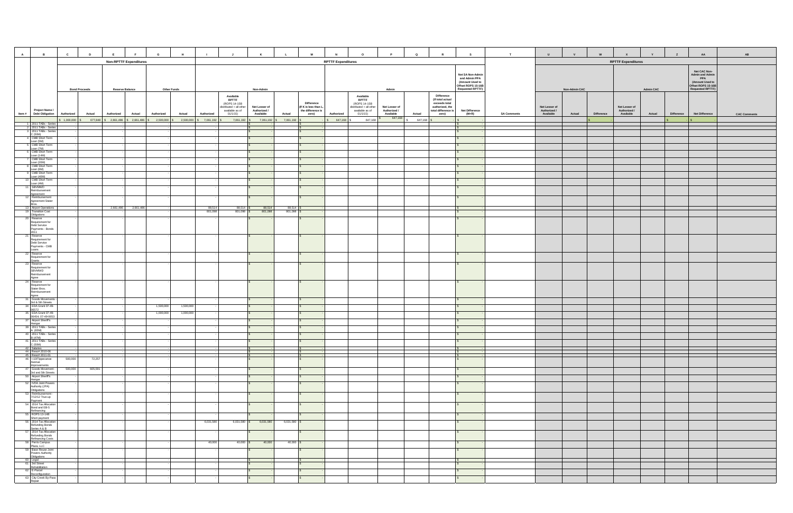| $\overline{A}$<br>$\mathbf{B}$                                                     | $\mathbf{c}$            | D<br>E                      | G                                                                          | H                      |                         |                                                                                         | K                             |                     | M                                                        | $\circ$                                                                                 | $\mathbf{P}$                  | R<br>$\mathbf Q$                                                                                 | S                                                                                                    | T                  | $\mathbf{U}$                  | $\mathbf{v}$         | W          | $\mathbf{x}$                  | Y                | $\mathbf{z}$      | AA                                                                                                                       | AB                  |
|------------------------------------------------------------------------------------|-------------------------|-----------------------------|----------------------------------------------------------------------------|------------------------|-------------------------|-----------------------------------------------------------------------------------------|-------------------------------|---------------------|----------------------------------------------------------|-----------------------------------------------------------------------------------------|-------------------------------|--------------------------------------------------------------------------------------------------|------------------------------------------------------------------------------------------------------|--------------------|-------------------------------|----------------------|------------|-------------------------------|------------------|-------------------|--------------------------------------------------------------------------------------------------------------------------|---------------------|
|                                                                                    |                         |                             | <b>Non-RPTTF Expenditures</b>                                              |                        |                         |                                                                                         |                               |                     |                                                          | <b>RPTTF Expenditures</b>                                                               |                               |                                                                                                  |                                                                                                      |                    |                               |                      |            | <b>RPTTF Expenditures</b>     |                  |                   |                                                                                                                          |                     |
|                                                                                    |                         | <b>Bond Proceeds</b>        | <b>Reserve Balance</b>                                                     | <b>Other Funds</b>     |                         |                                                                                         | Non-Admin                     |                     |                                                          |                                                                                         | Admin                         |                                                                                                  | Net SA Non-Admir<br>and Admin PPA<br>(Amount Used to<br>Offset ROPS 15-16B<br><b>Requested RPTTF</b> |                    |                               | <b>Non-Admin CAC</b> |            |                               | <b>Admin CAC</b> |                   | Net CAC Non-<br><b>Admin and Admin</b><br><b>PPA</b><br>(Amount Used to<br>Offset ROPS 15-16B<br><b>Requested RPTTF)</b> |                     |
| Project Name /                                                                     |                         |                             |                                                                            |                        |                         | Available<br><b>RPTTF</b><br>(ROPS 14-15B<br>distributed + all other<br>available as of | Net Lesser of<br>Authorized / |                     | Difference<br>(If K is less than L,<br>the difference is | Available<br><b>RPTTF</b><br>(ROPS 14-15B<br>distributed + all other<br>available as of | Net Lesser of<br>Authorized / | <b>Difference</b><br>(If total actual<br>exceeds total<br>authorized, the<br>total difference is | <b>Net Difference</b>                                                                                |                    | Net Lesser of<br>Authorized / |                      |            | Net Lesser of<br>Authorized / |                  |                   |                                                                                                                          |                     |
| Item # Debt Obligation                                                             | Authorized<br>1,000,000 | <b>Actual</b><br>Authorized | <b>Actual</b><br>Authorized<br>677,848 \$2,661,486 \$2,661,486 \$2,500,000 | Actual<br>2,500,000    | Authorized<br>7,061,192 | 01/1/15)<br>7,061,192                                                                   | Available<br>7,061,192        | Actual<br>7,061,192 | zero)                                                    | Authorized<br>01/1/15)<br>647,168<br>647,168                                            | Available<br>647,168          | Actual<br>zero)<br>647,168                                                                       | $(M+R)$                                                                                              | <b>SA Comments</b> | Available                     | Actual               | Difference | Available                     | Actual           | <b>Difference</b> | <b>Net Difference</b>                                                                                                    | <b>CAC Comments</b> |
| 1 2011 TABs - Serie                                                                |                         |                             |                                                                            |                        |                         |                                                                                         |                               |                     |                                                          |                                                                                         |                               |                                                                                                  |                                                                                                      |                    |                               |                      |            |                               |                  |                   |                                                                                                                          |                     |
| 2 2011 TABs - Series<br>3 2011 TABs - Series<br>C (50M)<br>4 CMB Short Term        |                         |                             |                                                                            |                        |                         |                                                                                         |                               |                     |                                                          |                                                                                         |                               |                                                                                                  |                                                                                                      |                    |                               |                      |            |                               |                  |                   |                                                                                                                          |                     |
| Loan (5M)<br>5 CMB Short Term                                                      |                         |                             |                                                                            |                        |                         |                                                                                         |                               |                     |                                                          |                                                                                         |                               |                                                                                                  |                                                                                                      |                    |                               |                      |            |                               |                  |                   |                                                                                                                          |                     |
| Loan (7M)<br>CMB Short Term<br>Loan (14M)                                          |                         |                             |                                                                            |                        |                         |                                                                                         |                               |                     |                                                          |                                                                                         |                               |                                                                                                  |                                                                                                      |                    |                               |                      |            |                               |                  |                   |                                                                                                                          |                     |
| <b>CMB</b> Short Term<br>Loan (20M)<br>8 CMB Short Term                            |                         |                             |                                                                            |                        |                         |                                                                                         |                               |                     |                                                          |                                                                                         |                               |                                                                                                  |                                                                                                      |                    |                               |                      |            |                               |                  |                   |                                                                                                                          |                     |
| Loan (6M)<br>9 CMB Short Term                                                      |                         |                             |                                                                            |                        |                         |                                                                                         |                               |                     |                                                          |                                                                                         |                               |                                                                                                  |                                                                                                      |                    |                               |                      |            |                               |                  |                   |                                                                                                                          |                     |
| Loan (40M)<br>10 CMB Short Term<br>Loan (4M)                                       |                         |                             |                                                                            |                        |                         |                                                                                         |                               |                     |                                                          |                                                                                         |                               |                                                                                                  |                                                                                                      |                    |                               |                      |            |                               |                  |                   |                                                                                                                          |                     |
| SBVMWD<br>Reimbursement                                                            |                         |                             |                                                                            |                        |                         |                                                                                         |                               |                     |                                                          |                                                                                         |                               |                                                                                                  |                                                                                                      |                    |                               |                      |            |                               |                  |                   |                                                                                                                          |                     |
| Agreement<br>12 Reimbursement<br>Agreement Stater                                  |                         |                             |                                                                            |                        |                         |                                                                                         |                               |                     |                                                          |                                                                                         |                               |                                                                                                  |                                                                                                      |                    |                               |                      |            |                               |                  |                   |                                                                                                                          |                     |
| Bros.<br>13 Airport Operations<br>19 Transition Cost                               |                         | 2,661,486                   | 2,661,486                                                                  |                        | 88,514<br>801,098       | 88,514 \$<br>801,098 \$                                                                 | 88,514<br>801,098             | 88,514<br>801,098   |                                                          |                                                                                         |                               |                                                                                                  |                                                                                                      |                    |                               |                      |            |                               |                  |                   |                                                                                                                          |                     |
| Obligations<br>20 Reserve                                                          |                         |                             |                                                                            |                        |                         |                                                                                         |                               |                     |                                                          |                                                                                         |                               |                                                                                                  |                                                                                                      |                    |                               |                      |            |                               |                  |                   |                                                                                                                          |                     |
| Requirement for<br>Debt Service<br>Payments - Bonds<br>2011                        |                         |                             |                                                                            |                        |                         |                                                                                         |                               |                     |                                                          |                                                                                         |                               |                                                                                                  |                                                                                                      |                    |                               |                      |            |                               |                  |                   |                                                                                                                          |                     |
| 21 Reserve<br>Requirement for<br>Debt Service<br>Payments - CMB<br>Loans           |                         |                             |                                                                            |                        |                         |                                                                                         |                               |                     |                                                          |                                                                                         |                               |                                                                                                  |                                                                                                      |                    |                               |                      |            |                               |                  |                   |                                                                                                                          |                     |
| 22 Reserve<br>Requirement for                                                      |                         |                             |                                                                            |                        |                         |                                                                                         |                               |                     |                                                          |                                                                                         |                               |                                                                                                  |                                                                                                      |                    |                               |                      |            |                               |                  |                   |                                                                                                                          |                     |
| Grants<br>23 Reserve<br>Requirement for<br>SBVMWD<br>Reimbursement                 |                         |                             |                                                                            |                        |                         |                                                                                         |                               |                     |                                                          |                                                                                         |                               |                                                                                                  |                                                                                                      |                    |                               |                      |            |                               |                  |                   |                                                                                                                          |                     |
| Agree<br>24 Reserve<br>Requirement for                                             |                         |                             |                                                                            |                        |                         |                                                                                         | $\mathbf{s}$                  |                     | S.                                                       |                                                                                         |                               |                                                                                                  |                                                                                                      |                    |                               |                      |            |                               |                  |                   |                                                                                                                          |                     |
| Stater Bros.<br>Reimbursement<br>Agree<br>31 Goods Movements<br>3rd & 5th Streets  |                         |                             |                                                                            |                        |                         |                                                                                         |                               |                     |                                                          |                                                                                         |                               |                                                                                                  |                                                                                                      |                    |                               |                      |            |                               |                  |                   |                                                                                                                          |                     |
| 34 EDA Grant 07-49-<br>06572                                                       |                         |                             |                                                                            | 1,500,000<br>1,500,000 |                         |                                                                                         |                               |                     |                                                          |                                                                                         |                               |                                                                                                  |                                                                                                      |                    |                               |                      |            |                               |                  |                   |                                                                                                                          |                     |
| 35 EDA Grant 07-49-<br>06454; 07-49-0653<br>37 Airport Sheriff's                   |                         |                             |                                                                            | 1,000,000<br>1,000,000 |                         |                                                                                         |                               |                     |                                                          |                                                                                         |                               |                                                                                                  |                                                                                                      |                    |                               |                      |            |                               |                  |                   |                                                                                                                          |                     |
| Hangar<br>39 2011 TABs - Series                                                    |                         |                             |                                                                            |                        |                         |                                                                                         |                               |                     |                                                          |                                                                                         |                               |                                                                                                  |                                                                                                      |                    |                               |                      |            |                               |                  |                   |                                                                                                                          |                     |
| A (65M)<br>40 2011 TABs - Series<br>B (47M)                                        |                         |                             |                                                                            |                        |                         |                                                                                         |                               |                     |                                                          |                                                                                         |                               |                                                                                                  |                                                                                                      |                    |                               |                      |            |                               |                  |                   |                                                                                                                          |                     |
| 41 2011 TABs - Series<br>C (50M)                                                   |                         |                             |                                                                            |                        |                         |                                                                                         |                               |                     |                                                          |                                                                                         |                               |                                                                                                  |                                                                                                      |                    |                               |                      |            |                               |                  |                   |                                                                                                                          |                     |
| 42 Salaries<br>44 Reso# 2010-06<br>45 Reso# 2011-01<br>46 I-10/Tippecanoe          |                         |                             |                                                                            |                        |                         |                                                                                         |                               |                     |                                                          |                                                                                         |                               |                                                                                                  |                                                                                                      |                    |                               |                      |            |                               |                  |                   |                                                                                                                          |                     |
| Avenue<br>Improvements                                                             | 500,000                 | 72,257                      |                                                                            |                        |                         |                                                                                         |                               |                     |                                                          |                                                                                         |                               |                                                                                                  |                                                                                                      |                    |                               |                      |            |                               |                  |                   |                                                                                                                          |                     |
| 47 Goods Movement -<br>3rd and 5th Streets<br>50 Airport Sheriff's                 | 500,000                 | 605,591                     |                                                                            |                        |                         |                                                                                         |                               |                     |                                                          |                                                                                         |                               |                                                                                                  |                                                                                                      |                    |                               |                      |            |                               |                  |                   |                                                                                                                          |                     |
| Hangar<br>52 IVDA Joint Powers                                                     |                         |                             |                                                                            |                        |                         |                                                                                         | IS.                           |                     | s.                                                       |                                                                                         |                               |                                                                                                  |                                                                                                      |                    |                               |                      |            |                               |                  |                   |                                                                                                                          |                     |
| Authority (JPA)<br>Obligations<br>53 Reimbursement -<br>7/12/12 True-up<br>Payment |                         |                             |                                                                            |                        |                         |                                                                                         |                               |                     |                                                          |                                                                                         |                               |                                                                                                  |                                                                                                      |                    |                               |                      |            |                               |                  |                   |                                                                                                                          |                     |
| 54 2014 Tax Allocation<br>Bond and EB-5                                            |                         |                             |                                                                            |                        |                         |                                                                                         |                               |                     |                                                          |                                                                                         |                               |                                                                                                  |                                                                                                      |                    |                               |                      |            |                               |                  |                   |                                                                                                                          |                     |
| Refinancing<br>55 ROPS 13-14B<br>Short payment<br>56 2014 Tax Allocation           |                         |                             |                                                                            |                        | 6,031,580               | $6,031,580$ \$                                                                          | 6,031,580                     | 6,031,580 \$        |                                                          |                                                                                         |                               |                                                                                                  |                                                                                                      |                    |                               |                      |            |                               |                  |                   |                                                                                                                          |                     |
| <b>Refunding Bonds</b><br>Series A & B<br>57 2014 Tax Allocation                   |                         |                             |                                                                            |                        |                         |                                                                                         | IS.                           |                     |                                                          |                                                                                         |                               |                                                                                                  |                                                                                                      |                    |                               |                      |            |                               |                  |                   |                                                                                                                          |                     |
| <b>Refunding Bonds</b><br>Refinancing Costs<br>58 Perris Campus                    |                         |                             |                                                                            |                        | 40,000                  | $40,000$ \$                                                                             | 40,000                        | $40,000$ \$         |                                                          |                                                                                         |                               |                                                                                                  |                                                                                                      |                    |                               |                      |            |                               |                  |                   |                                                                                                                          |                     |
| Plaza, LLC<br>59 Base Reuse Joint                                                  |                         |                             |                                                                            |                        |                         |                                                                                         |                               |                     |                                                          |                                                                                         |                               |                                                                                                  |                                                                                                      |                    |                               |                      |            |                               |                  |                   |                                                                                                                          |                     |
| Obligations                                                                        |                         |                             |                                                                            |                        |                         |                                                                                         |                               |                     |                                                          |                                                                                         |                               |                                                                                                  |                                                                                                      |                    |                               |                      |            |                               |                  |                   |                                                                                                                          |                     |
| 60 Legal<br>61 3rd Street<br>Rehabilitation                                        |                         |                             |                                                                            |                        |                         |                                                                                         |                               |                     |                                                          |                                                                                         |                               |                                                                                                  |                                                                                                      |                    |                               |                      |            |                               |                  |                   |                                                                                                                          |                     |
| 62 E-Parcel<br>Reconfiguration<br>63 City Creek By-Pass                            |                         |                             |                                                                            |                        |                         |                                                                                         | IS.                           |                     | s.                                                       |                                                                                         |                               |                                                                                                  |                                                                                                      |                    |                               |                      |            |                               |                  |                   |                                                                                                                          |                     |
| Repair                                                                             |                         |                             |                                                                            |                        |                         |                                                                                         |                               |                     |                                                          |                                                                                         |                               |                                                                                                  |                                                                                                      |                    |                               |                      |            |                               |                  |                   |                                                                                                                          |                     |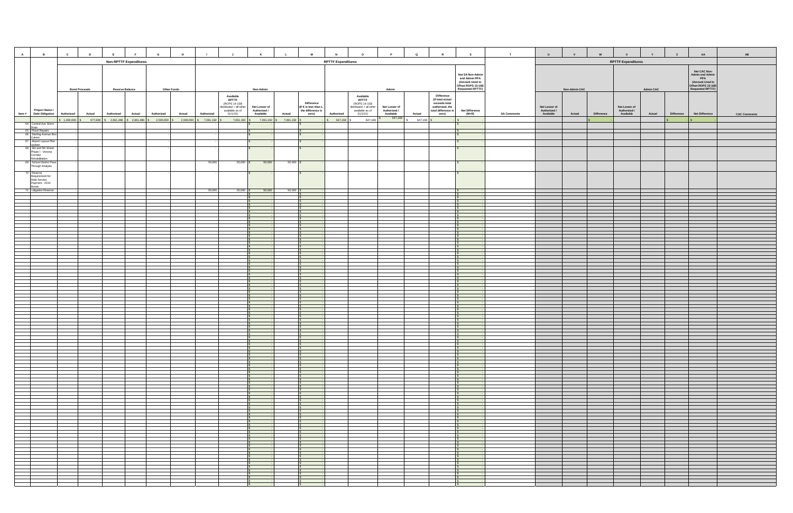| $\overline{A}$<br>$\mathbf{B}$                                                                                                                                                                                   | $\mathbf{c}$ | D<br>E                                                                                   |                               | $\mathbf{G}$  | H                  | $\blacksquare$ | <b>J</b>                                                                                | $\kappa$                      |                       | M                                                        | $\circ$<br>N                                                                            | P<br>$\mathbf Q$               | R                                                                                                | S                                                                                                     | T                  | $\mathbf{U}$                  | V                    | W          | $\mathbf{x}$                  | Y                | $\mathsf{z}$ | AA                                                                                                                | AB                  |
|------------------------------------------------------------------------------------------------------------------------------------------------------------------------------------------------------------------|--------------|------------------------------------------------------------------------------------------|-------------------------------|---------------|--------------------|----------------|-----------------------------------------------------------------------------------------|-------------------------------|-----------------------|----------------------------------------------------------|-----------------------------------------------------------------------------------------|--------------------------------|--------------------------------------------------------------------------------------------------|-------------------------------------------------------------------------------------------------------|--------------------|-------------------------------|----------------------|------------|-------------------------------|------------------|--------------|-------------------------------------------------------------------------------------------------------------------|---------------------|
|                                                                                                                                                                                                                  |              |                                                                                          | <b>Non-RPTTF Expenditures</b> |               |                    |                |                                                                                         |                               |                       |                                                          | <b>RPTTF Expenditures</b>                                                               |                                |                                                                                                  |                                                                                                       |                    |                               |                      |            | <b>RPTTF Expenditures</b>     |                  |              |                                                                                                                   |                     |
|                                                                                                                                                                                                                  |              | <b>Bond Proceeds</b>                                                                     | <b>Reserve Balance</b>        |               | <b>Other Funds</b> |                |                                                                                         | Non-Admin                     |                       |                                                          |                                                                                         | Admin                          |                                                                                                  | Net SA Non-Admir<br>and Admin PPA<br>(Amount Used to<br>Offset ROPS 15-16E<br><b>Requested RPTTF)</b> |                    |                               | <b>Non-Admin CAC</b> |            |                               | <b>Admin CAC</b> |              | Net CAC Non-<br><b>Admin and Admin</b><br><b>PPA</b><br>(Amount Used to<br>Offset ROPS 15-16B<br>Requested RPTTF) |                     |
| Project Name /<br>Item # Debt Obligation                                                                                                                                                                         |              | <b>Actual</b>                                                                            |                               | Authorized    |                    | Authorized     | Available<br><b>RPTTF</b><br>(ROPS 14-15B<br>distributed + all other<br>available as of | Net Lesser of<br>Authorized / |                       | Difference<br>(If K is less than L,<br>the difference is | Available<br><b>RPTTF</b><br>(ROPS 14-15B<br>distributed + all other<br>available as of | Net Lesser of<br>Authorized /  | <b>Difference</b><br>(If total actual<br>exceeds total<br>authorized, the<br>total difference is | <b>Net Difference</b>                                                                                 | <b>SA Comments</b> | Net Lesser of<br>Authorized / |                      | Difference | Net Lesser of<br>Authorized / |                  |              |                                                                                                                   |                     |
|                                                                                                                                                                                                                  | Authorized   | Authorized<br>$1,000,000$ \$ 677,848 \$ 2,661,486 \$ 2,661,486 \$ 2,500,000 \$ 2,500,000 |                               | <b>Actual</b> | Actual             | 7,061,192      | 01/1/15)<br>7,061,192 \$                                                                | Available<br>7,061,192        | Actual<br>\$7,061,192 | zero)                                                    | Authorized<br>01/1/15)<br>\$647,168<br>647,168                                          | Available<br>Actual<br>647,168 | zero)<br>647,168 \$                                                                              | $(M+R)$                                                                                               |                    | Available                     | Actual               |            | Available                     | Actual           | Difference   | <b>Net Difference</b>                                                                                             | <b>CAC Comments</b> |
| 64 Central Ave Storm                                                                                                                                                                                             |              |                                                                                          |                               |               |                    |                |                                                                                         |                               |                       |                                                          |                                                                                         |                                |                                                                                                  |                                                                                                       |                    |                               |                      |            |                               |                  |              |                                                                                                                   |                     |
| $\begin{array}{c}\n\text{Central.} \\ \hline\n\text{Big} \\ \hline\n\text{65} \text{ Find Repairs} \\ \hline\n\text{66} \text{Setting Avenue Box} \\ \hline\n\text{Culer} \\ \hline\n\text{viewer}\n\end{array}$ |              |                                                                                          |                               |               |                    |                |                                                                                         |                               |                       |                                                          |                                                                                         |                                |                                                                                                  |                                                                                                       |                    |                               |                      |            |                               |                  |              |                                                                                                                   |                     |
|                                                                                                                                                                                                                  |              |                                                                                          |                               |               |                    |                |                                                                                         |                               |                       |                                                          |                                                                                         |                                |                                                                                                  |                                                                                                       |                    |                               |                      |            |                               |                  |              |                                                                                                                   |                     |
| 67 Airport Layout Plan<br>Update                                                                                                                                                                                 |              |                                                                                          |                               |               |                    |                |                                                                                         |                               |                       |                                                          |                                                                                         |                                |                                                                                                  |                                                                                                       |                    |                               |                      |            |                               |                  |              |                                                                                                                   |                     |
| 68 3rd and 5th Street                                                                                                                                                                                            |              |                                                                                          |                               |               |                    |                |                                                                                         |                               |                       |                                                          |                                                                                         |                                |                                                                                                  |                                                                                                       |                    |                               |                      |            |                               |                  |              |                                                                                                                   |                     |
| Phase I - Victoria<br>Corridor                                                                                                                                                                                   |              |                                                                                          |                               |               |                    |                |                                                                                         |                               |                       |                                                          |                                                                                         |                                |                                                                                                  |                                                                                                       |                    |                               |                      |            |                               |                  |              |                                                                                                                   |                     |
| Rehabilitation<br>69 School District Pas                                                                                                                                                                         |              |                                                                                          |                               |               |                    | 50,000         | $50,000$ \$                                                                             | 50,000                        | $50,000$ \$           |                                                          |                                                                                         |                                |                                                                                                  |                                                                                                       |                    |                               |                      |            |                               |                  |              |                                                                                                                   |                     |
| Through Analysis                                                                                                                                                                                                 |              |                                                                                          |                               |               |                    |                |                                                                                         |                               |                       |                                                          |                                                                                         |                                |                                                                                                  |                                                                                                       |                    |                               |                      |            |                               |                  |              |                                                                                                                   |                     |
| 70 Reserve<br>Requirement for<br>Debt Service                                                                                                                                                                    |              |                                                                                          |                               |               |                    |                |                                                                                         |                               |                       |                                                          |                                                                                         |                                |                                                                                                  |                                                                                                       |                    |                               |                      |            |                               |                  |              |                                                                                                                   |                     |
| Payment - 2014<br><b>Bonds</b>                                                                                                                                                                                   |              |                                                                                          |                               |               |                    |                |                                                                                         |                               |                       |                                                          |                                                                                         |                                |                                                                                                  |                                                                                                       |                    |                               |                      |            |                               |                  |              |                                                                                                                   |                     |
| 71 Litigation Reserve                                                                                                                                                                                            |              |                                                                                          |                               |               |                    | 50,000         | $50,000$ \$                                                                             | 50,000                        | $50,000$ \$           |                                                          |                                                                                         |                                |                                                                                                  |                                                                                                       |                    |                               |                      |            |                               |                  |              |                                                                                                                   |                     |
|                                                                                                                                                                                                                  |              |                                                                                          |                               |               |                    |                |                                                                                         |                               |                       |                                                          |                                                                                         |                                |                                                                                                  |                                                                                                       |                    |                               |                      |            |                               |                  |              |                                                                                                                   |                     |
|                                                                                                                                                                                                                  |              |                                                                                          |                               |               |                    |                |                                                                                         |                               |                       |                                                          |                                                                                         |                                |                                                                                                  |                                                                                                       |                    |                               |                      |            |                               |                  |              |                                                                                                                   |                     |
|                                                                                                                                                                                                                  |              |                                                                                          |                               |               |                    |                |                                                                                         |                               |                       |                                                          |                                                                                         |                                |                                                                                                  |                                                                                                       |                    |                               |                      |            |                               |                  |              |                                                                                                                   |                     |
|                                                                                                                                                                                                                  |              |                                                                                          |                               |               |                    |                |                                                                                         |                               |                       |                                                          |                                                                                         |                                |                                                                                                  |                                                                                                       |                    |                               |                      |            |                               |                  |              |                                                                                                                   |                     |
|                                                                                                                                                                                                                  |              |                                                                                          |                               |               |                    |                |                                                                                         |                               |                       |                                                          |                                                                                         |                                |                                                                                                  |                                                                                                       |                    |                               |                      |            |                               |                  |              |                                                                                                                   |                     |
|                                                                                                                                                                                                                  |              |                                                                                          |                               |               |                    |                |                                                                                         |                               |                       |                                                          |                                                                                         |                                |                                                                                                  |                                                                                                       |                    |                               |                      |            |                               |                  |              |                                                                                                                   |                     |
|                                                                                                                                                                                                                  |              |                                                                                          |                               |               |                    |                |                                                                                         |                               |                       |                                                          |                                                                                         |                                |                                                                                                  |                                                                                                       |                    |                               |                      |            |                               |                  |              |                                                                                                                   |                     |
|                                                                                                                                                                                                                  |              |                                                                                          |                               |               |                    |                |                                                                                         |                               |                       |                                                          |                                                                                         |                                |                                                                                                  |                                                                                                       |                    |                               |                      |            |                               |                  |              |                                                                                                                   |                     |
|                                                                                                                                                                                                                  |              |                                                                                          |                               |               |                    |                |                                                                                         |                               |                       |                                                          |                                                                                         |                                |                                                                                                  |                                                                                                       |                    |                               |                      |            |                               |                  |              |                                                                                                                   |                     |
|                                                                                                                                                                                                                  |              |                                                                                          |                               |               |                    |                |                                                                                         |                               |                       |                                                          |                                                                                         |                                |                                                                                                  |                                                                                                       |                    |                               |                      |            |                               |                  |              |                                                                                                                   |                     |
|                                                                                                                                                                                                                  |              |                                                                                          |                               |               |                    |                |                                                                                         |                               |                       |                                                          |                                                                                         |                                |                                                                                                  |                                                                                                       |                    |                               |                      |            |                               |                  |              |                                                                                                                   |                     |
|                                                                                                                                                                                                                  |              |                                                                                          |                               |               |                    |                |                                                                                         |                               |                       |                                                          |                                                                                         |                                |                                                                                                  |                                                                                                       |                    |                               |                      |            |                               |                  |              |                                                                                                                   |                     |
|                                                                                                                                                                                                                  |              |                                                                                          |                               |               |                    |                |                                                                                         |                               |                       |                                                          |                                                                                         |                                |                                                                                                  |                                                                                                       |                    |                               |                      |            |                               |                  |              |                                                                                                                   |                     |
|                                                                                                                                                                                                                  |              |                                                                                          |                               |               |                    |                |                                                                                         |                               |                       |                                                          |                                                                                         |                                |                                                                                                  |                                                                                                       |                    |                               |                      |            |                               |                  |              |                                                                                                                   |                     |
|                                                                                                                                                                                                                  |              |                                                                                          |                               |               |                    |                |                                                                                         |                               |                       |                                                          |                                                                                         |                                |                                                                                                  |                                                                                                       |                    |                               |                      |            |                               |                  |              |                                                                                                                   |                     |
|                                                                                                                                                                                                                  |              |                                                                                          |                               |               |                    |                |                                                                                         |                               |                       |                                                          |                                                                                         |                                |                                                                                                  |                                                                                                       |                    |                               |                      |            |                               |                  |              |                                                                                                                   |                     |
|                                                                                                                                                                                                                  |              |                                                                                          |                               |               |                    |                |                                                                                         |                               |                       |                                                          |                                                                                         |                                |                                                                                                  |                                                                                                       |                    |                               |                      |            |                               |                  |              |                                                                                                                   |                     |
|                                                                                                                                                                                                                  |              |                                                                                          |                               |               |                    |                |                                                                                         |                               |                       |                                                          |                                                                                         |                                |                                                                                                  |                                                                                                       |                    |                               |                      |            |                               |                  |              |                                                                                                                   |                     |
|                                                                                                                                                                                                                  |              |                                                                                          |                               |               |                    |                |                                                                                         |                               |                       |                                                          |                                                                                         |                                |                                                                                                  |                                                                                                       |                    |                               |                      |            |                               |                  |              |                                                                                                                   |                     |
|                                                                                                                                                                                                                  |              |                                                                                          |                               |               |                    |                |                                                                                         |                               |                       |                                                          |                                                                                         |                                |                                                                                                  |                                                                                                       |                    |                               |                      |            |                               |                  |              |                                                                                                                   |                     |
|                                                                                                                                                                                                                  |              |                                                                                          |                               |               |                    |                |                                                                                         |                               |                       |                                                          |                                                                                         |                                |                                                                                                  |                                                                                                       |                    |                               |                      |            |                               |                  |              |                                                                                                                   |                     |
|                                                                                                                                                                                                                  |              |                                                                                          |                               |               |                    |                |                                                                                         |                               |                       |                                                          |                                                                                         |                                |                                                                                                  |                                                                                                       |                    |                               |                      |            |                               |                  |              |                                                                                                                   |                     |
|                                                                                                                                                                                                                  |              |                                                                                          |                               |               |                    |                |                                                                                         |                               |                       |                                                          |                                                                                         |                                |                                                                                                  |                                                                                                       |                    |                               |                      |            |                               |                  |              |                                                                                                                   |                     |
|                                                                                                                                                                                                                  |              |                                                                                          |                               |               |                    |                |                                                                                         |                               |                       |                                                          |                                                                                         |                                |                                                                                                  |                                                                                                       |                    |                               |                      |            |                               |                  |              |                                                                                                                   |                     |
|                                                                                                                                                                                                                  |              |                                                                                          |                               |               |                    |                |                                                                                         |                               |                       |                                                          |                                                                                         |                                |                                                                                                  |                                                                                                       |                    |                               |                      |            |                               |                  |              |                                                                                                                   |                     |
|                                                                                                                                                                                                                  |              |                                                                                          |                               |               |                    |                |                                                                                         |                               |                       |                                                          |                                                                                         |                                |                                                                                                  |                                                                                                       |                    |                               |                      |            |                               |                  |              |                                                                                                                   |                     |
|                                                                                                                                                                                                                  |              |                                                                                          |                               |               |                    |                |                                                                                         |                               |                       |                                                          |                                                                                         |                                |                                                                                                  |                                                                                                       |                    |                               |                      |            |                               |                  |              |                                                                                                                   |                     |
|                                                                                                                                                                                                                  |              |                                                                                          |                               |               |                    |                |                                                                                         |                               |                       |                                                          |                                                                                         |                                |                                                                                                  |                                                                                                       |                    |                               |                      |            |                               |                  |              |                                                                                                                   |                     |
|                                                                                                                                                                                                                  |              |                                                                                          |                               |               |                    |                |                                                                                         |                               |                       |                                                          |                                                                                         |                                |                                                                                                  |                                                                                                       |                    |                               |                      |            |                               |                  |              |                                                                                                                   |                     |
|                                                                                                                                                                                                                  |              |                                                                                          |                               |               |                    |                |                                                                                         |                               |                       |                                                          |                                                                                         |                                |                                                                                                  |                                                                                                       |                    |                               |                      |            |                               |                  |              |                                                                                                                   |                     |
|                                                                                                                                                                                                                  |              |                                                                                          |                               |               |                    |                |                                                                                         |                               |                       |                                                          |                                                                                         |                                |                                                                                                  |                                                                                                       |                    |                               |                      |            |                               |                  |              |                                                                                                                   |                     |
|                                                                                                                                                                                                                  |              |                                                                                          |                               |               |                    |                |                                                                                         |                               |                       |                                                          |                                                                                         |                                |                                                                                                  |                                                                                                       |                    |                               |                      |            |                               |                  |              |                                                                                                                   |                     |
|                                                                                                                                                                                                                  |              |                                                                                          |                               |               |                    |                |                                                                                         |                               |                       |                                                          |                                                                                         |                                |                                                                                                  |                                                                                                       |                    |                               |                      |            |                               |                  |              |                                                                                                                   |                     |
|                                                                                                                                                                                                                  |              |                                                                                          |                               |               |                    |                |                                                                                         |                               |                       |                                                          |                                                                                         |                                |                                                                                                  |                                                                                                       |                    |                               |                      |            |                               |                  |              |                                                                                                                   |                     |
|                                                                                                                                                                                                                  |              |                                                                                          |                               |               |                    |                |                                                                                         |                               |                       |                                                          |                                                                                         |                                |                                                                                                  |                                                                                                       |                    |                               |                      |            |                               |                  |              |                                                                                                                   |                     |
|                                                                                                                                                                                                                  |              |                                                                                          |                               |               |                    |                |                                                                                         |                               |                       |                                                          |                                                                                         |                                |                                                                                                  |                                                                                                       |                    |                               |                      |            |                               |                  |              |                                                                                                                   |                     |
|                                                                                                                                                                                                                  |              |                                                                                          |                               |               |                    |                |                                                                                         |                               |                       |                                                          |                                                                                         |                                |                                                                                                  |                                                                                                       |                    |                               |                      |            |                               |                  |              |                                                                                                                   |                     |
|                                                                                                                                                                                                                  |              |                                                                                          |                               |               |                    |                |                                                                                         |                               |                       |                                                          |                                                                                         |                                |                                                                                                  |                                                                                                       |                    |                               |                      |            |                               |                  |              |                                                                                                                   |                     |
|                                                                                                                                                                                                                  |              |                                                                                          |                               |               |                    |                |                                                                                         |                               |                       |                                                          |                                                                                         |                                |                                                                                                  |                                                                                                       |                    |                               |                      |            |                               |                  |              |                                                                                                                   |                     |
|                                                                                                                                                                                                                  |              |                                                                                          |                               |               |                    |                |                                                                                         |                               |                       |                                                          |                                                                                         |                                |                                                                                                  |                                                                                                       |                    |                               |                      |            |                               |                  |              |                                                                                                                   |                     |
|                                                                                                                                                                                                                  |              |                                                                                          |                               |               |                    |                |                                                                                         |                               |                       |                                                          |                                                                                         |                                |                                                                                                  |                                                                                                       |                    |                               |                      |            |                               |                  |              |                                                                                                                   |                     |
|                                                                                                                                                                                                                  |              |                                                                                          |                               |               |                    |                |                                                                                         |                               |                       |                                                          |                                                                                         |                                |                                                                                                  |                                                                                                       |                    |                               |                      |            |                               |                  |              |                                                                                                                   |                     |
|                                                                                                                                                                                                                  |              |                                                                                          |                               |               |                    |                |                                                                                         |                               |                       |                                                          |                                                                                         |                                |                                                                                                  |                                                                                                       |                    |                               |                      |            |                               |                  |              |                                                                                                                   |                     |
|                                                                                                                                                                                                                  |              |                                                                                          |                               |               |                    |                |                                                                                         |                               |                       |                                                          |                                                                                         |                                |                                                                                                  |                                                                                                       |                    |                               |                      |            |                               |                  |              |                                                                                                                   |                     |
|                                                                                                                                                                                                                  |              |                                                                                          |                               |               |                    |                |                                                                                         |                               |                       |                                                          |                                                                                         |                                |                                                                                                  |                                                                                                       |                    |                               |                      |            |                               |                  |              |                                                                                                                   |                     |
|                                                                                                                                                                                                                  |              |                                                                                          |                               |               |                    |                |                                                                                         |                               |                       |                                                          |                                                                                         |                                |                                                                                                  |                                                                                                       |                    |                               |                      |            |                               |                  |              |                                                                                                                   |                     |